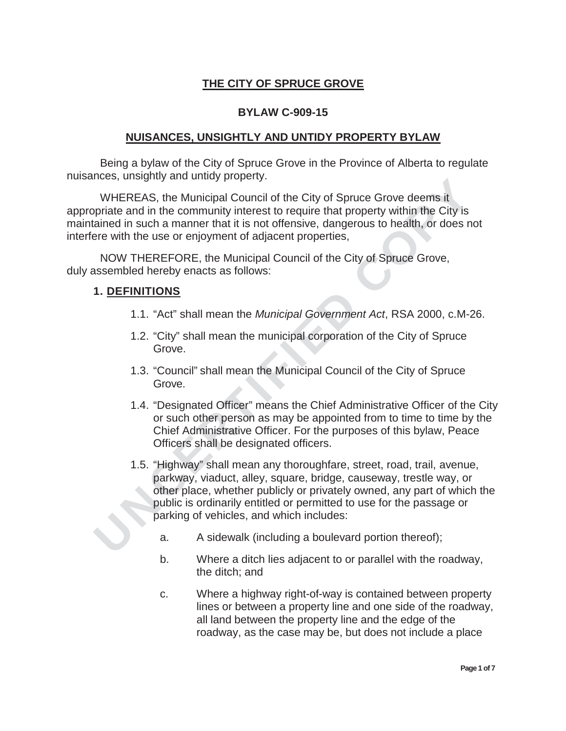## **THE CITY OF SPRUCE GROVE**

### **BYLAW C-909-15**

#### **NUISANCES, UNSIGHTLY AND UNTIDY PROPERTY BYLAW**

Being a bylaw of the City of Spruce Grove in the Province of Alberta to regulate nuisances, unsightly and untidy property.

WHEREAS, the Municipal Council of the City of Spruce Grove deems it appropriate and in the community interest to require that property within the City is maintained in such a manner that it is not offensive, dangerous to health, or does not interfere with the use or enjoyment of adjacent properties,

NOW THEREFORE, the Municipal Council of the City of Spruce Grove, duly assembled hereby enacts as follows:

#### **1. DEFINITIONS**

- 1.1. "Act" shall mean the *Municipal Government Act*, RSA 2000, c.M-26.
- 1.2. "City" shall mean the municipal corporation of the City of Spruce Grove.
- 1.3. "Council" shall mean the Municipal Council of the City of Spruce Grove.
- 1.4. "Designated Officer" means the Chief Administrative Officer of the City or such other person as may be appointed from to time to time by the Chief Administrative Officer. For the purposes of this bylaw, Peace Officers shall be designated officers.
- The FREAG, the Municipal Council of the City of Spruce Grove deems it<br>
WHEREAS, the Municipal Council of the City of Spruce Grove deems it<br>
Sprints and in the community interest to require that property within the City is<br> 1.5. "Highway" shall mean any thoroughfare, street, road, trail, avenue, parkway, viaduct, alley, square, bridge, causeway, trestle way, or other place, whether publicly or privately owned, any part of which the public is ordinarily entitled or permitted to use for the passage or parking of vehicles, and which includes:
	- a. A sidewalk (including a boulevard portion thereof);
	- b. Where a ditch lies adjacent to or parallel with the roadway, the ditch; and
	- c. Where a highway right-of-way is contained between property lines or between a property line and one side of the roadway, all land between the property line and the edge of the roadway, as the case may be, but does not include a place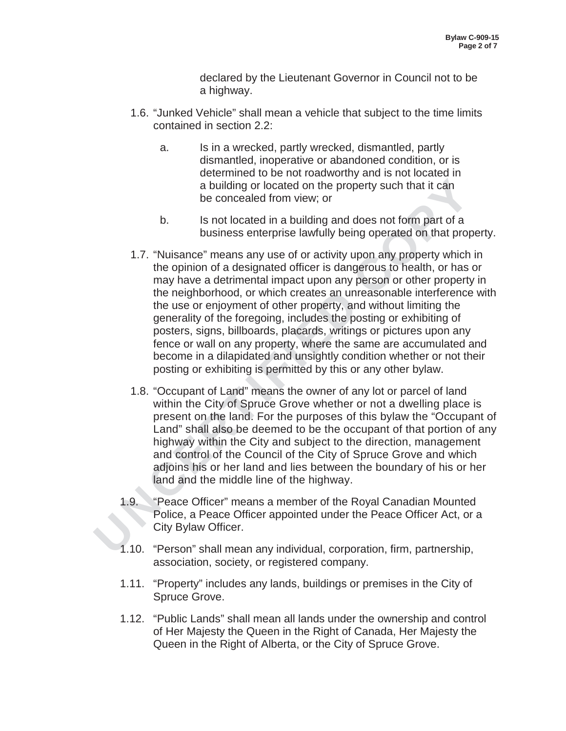declared by the Lieutenant Governor in Council not to be a highway.

- 1.6. "Junked Vehicle" shall mean a vehicle that subject to the time limits contained in section 2.2:
	- a. Is in a wrecked, partly wrecked, dismantled, partly dismantled, inoperative or abandoned condition, or is determined to be not roadworthy and is not located in a building or located on the property such that it can be concealed from view; or
	- b. Is not located in a building and does not form part of a business enterprise lawfully being operated on that property.
- abuilding or located on the property such that it can<br>be concealed on the property such that it can<br>be concealed from view; or<br>b. Is not located in a building and does not form part of a<br>building or located in a building a 1.7. "Nuisance" means any use of or activity upon any property which in the opinion of a designated officer is dangerous to health, or has or may have a detrimental impact upon any person or other property in the neighborhood, or which creates an unreasonable interference with the use or enjoyment of other property, and without limiting the generality of the foregoing, includes the posting or exhibiting of posters, signs, billboards, placards, writings or pictures upon any fence or wall on any property, where the same are accumulated and become in a dilapidated and unsightly condition whether or not their posting or exhibiting is permitted by this or any other bylaw.
	- 1.8. "Occupant of Land" means the owner of any lot or parcel of land within the City of Spruce Grove whether or not a dwelling place is present on the land. For the purposes of this bylaw the "Occupant of Land" shall also be deemed to be the occupant of that portion of any highway within the City and subject to the direction, management and control of the Council of the City of Spruce Grove and which adjoins his or her land and lies between the boundary of his or her land and the middle line of the highway.
	- 1.9. "Peace Officer" means a member of the Royal Canadian Mounted Police, a Peace Officer appointed under the Peace Officer Act, or a City Bylaw Officer.
	- 1.10. "Person" shall mean any individual, corporation, firm, partnership, association, society, or registered company.
	- 1.11. "Property" includes any lands, buildings or premises in the City of Spruce Grove.
	- 1.12. "Public Lands" shall mean all lands under the ownership and control of Her Majesty the Queen in the Right of Canada, Her Majesty the Queen in the Right of Alberta, or the City of Spruce Grove.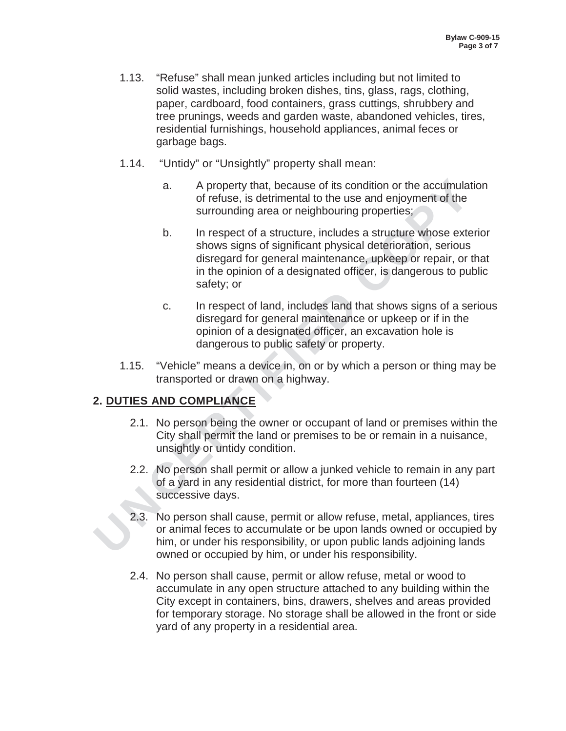- 1.13. "Refuse" shall mean junked articles including but not limited to solid wastes, including broken dishes, tins, glass, rags, clothing, paper, cardboard, food containers, grass cuttings, shrubbery and tree prunings, weeds and garden waste, abandoned vehicles, tires, residential furnishings, household appliances, animal feces or garbage bags.
- 1.14. "Untidy" or "Unsightly" property shall mean:
	- a. A property that, because of its condition or the accumulation of refuse, is detrimental to the use and enjoyment of the surrounding area or neighbouring properties;
- a. A property that, because of its condition or the accumulate of refuse, is detrimental to the use and enjoyment of the surrounding area or neighbouring properties;<br>
b. In respect of a structure, includes a structure whos b. In respect of a structure, includes a structure whose exterior shows signs of significant physical deterioration, serious disregard for general maintenance, upkeep or repair, or that in the opinion of a designated officer, is dangerous to public safety; or
	- c. In respect of land, includes land that shows signs of a serious disregard for general maintenance or upkeep or if in the opinion of a designated officer, an excavation hole is dangerous to public safety or property.
	- 1.15. "Vehicle" means a device in, on or by which a person or thing may be transported or drawn on a highway.

# **2. DUTIES AND COMPLIANCE**

- 2.1. No person being the owner or occupant of land or premises within the City shall permit the land or premises to be or remain in a nuisance, unsightly or untidy condition.
- 2.2. No person shall permit or allow a junked vehicle to remain in any part of a yard in any residential district, for more than fourteen (14) successive days.
- 2.3. No person shall cause, permit or allow refuse, metal, appliances, tires or animal feces to accumulate or be upon lands owned or occupied by him, or under his responsibility, or upon public lands adjoining lands owned or occupied by him, or under his responsibility.
- 2.4. No person shall cause, permit or allow refuse, metal or wood to accumulate in any open structure attached to any building within the City except in containers, bins, drawers, shelves and areas provided for temporary storage. No storage shall be allowed in the front or side yard of any property in a residential area.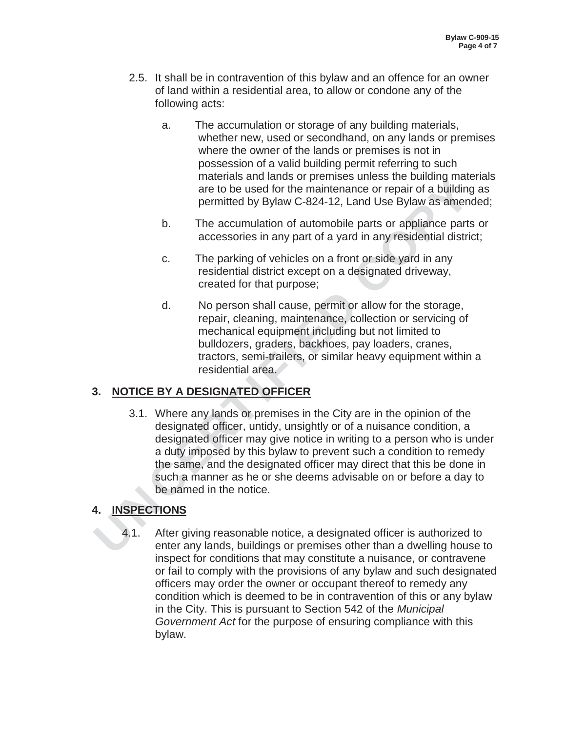- 2.5. It shall be in contravention of this bylaw and an offence for an owner of land within a residential area, to allow or condone any of the following acts:
	- a. The accumulation or storage of any building materials, whether new, used or secondhand, on any lands or premises where the owner of the lands or premises is not in possession of a valid building permit referring to such materials and lands or premises unless the building materials are to be used for the maintenance or repair of a building as permitted by Bylaw C-824-12, Land Use Bylaw as amended;
	- b. The accumulation of automobile parts or appliance parts or accessories in any part of a yard in any residential district;
	- c. The parking of vehicles on a front or side yard in any residential district except on a designated driveway, created for that purpose;
	- d. No person shall cause, permit or allow for the storage, repair, cleaning, maintenance, collection or servicing of mechanical equipment including but not limited to bulldozers, graders, backhoes, pay loaders, cranes, tractors, semi-trailers, or similar heavy equipment within a residential area.

# **3. NOTICE BY A DESIGNATED OFFICER**

materials are to be used for the maintenance or repair of a building<br>are to be used for the maintenance or repair of a building<br>permitted by Bylaw C-824-12, Land Use Bylaw as amen-<br>b. The accumulation of automobile parts o 3.1. Where any lands or premises in the City are in the opinion of the designated officer, untidy, unsightly or of a nuisance condition, a designated officer may give notice in writing to a person who is under a duty imposed by this bylaw to prevent such a condition to remedy the same, and the designated officer may direct that this be done in such a manner as he or she deems advisable on or before a day to be named in the notice.

# **4. INSPECTIONS**

4.1. After giving reasonable notice, a designated officer is authorized to enter any lands, buildings or premises other than a dwelling house to inspect for conditions that may constitute a nuisance, or contravene or fail to comply with the provisions of any bylaw and such designated officers may order the owner or occupant thereof to remedy any condition which is deemed to be in contravention of this or any bylaw in the City. This is pursuant to Section 542 of the *Municipal Government Act* for the purpose of ensuring compliance with this bylaw.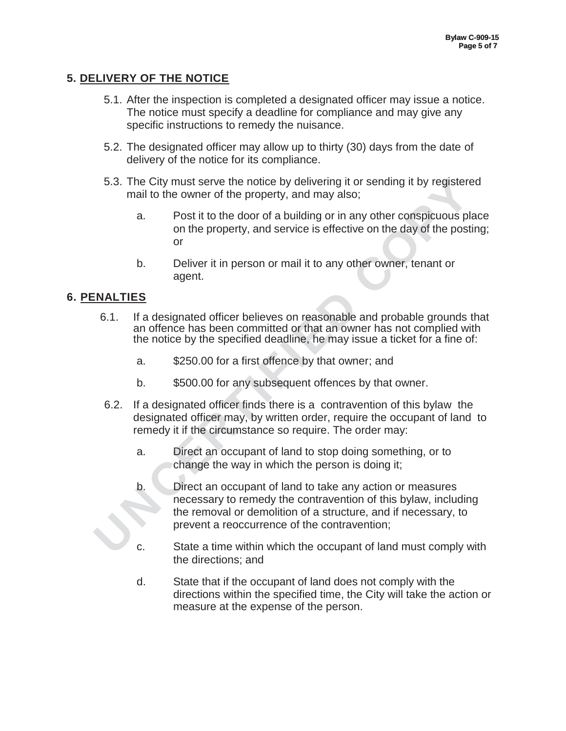# **5. DELIVERY OF THE NOTICE**

- 5.1. After the inspection is completed a designated officer may issue a notice. The notice must specify a deadline for compliance and may give any specific instructions to remedy the nuisance.
- 5.2. The designated officer may allow up to thirty (30) days from the date of delivery of the notice for its compliance.
- 5.3. The City must serve the notice by delivering it or sending it by registered mail to the owner of the property, and may also;
	- a. Post it to the door of a building or in any other conspicuous place on the property, and service is effective on the day of the posting; or
	- b. Deliver it in person or mail it to any other owner, tenant or agent.

## **6. PENALTIES**

- 6.1. If a designated officer believes on reasonable and probable grounds that an offence has been committed or that an owner has not complied with the notice by the specified deadline, he may issue a ticket for a fine of:
	- a. \$250.00 for a first offence by that owner; and
	- b. \$500.00 for any subsequent offences by that owner.
- 6.2. If a designated officer finds there is a contravention of this bylaw the designated officer may, by written order, require the occupant of land to remedy it if the circumstance so require. The order may:
	- a. Direct an occupant of land to stop doing something, or to change the way in which the person is doing it;
- 5.3. The City must serve the notice by delivering it or sending it by registere<br>
mail to the owner of the property, and may also;<br>
a. Post it to the door of a building or in any other conspicuous pl<br>
on the property, and s b. Direct an occupant of land to take any action or measures necessary to remedy the contravention of this bylaw, including the removal or demolition of a structure, and if necessary, to prevent a reoccurrence of the contravention;
	- c. State a time within which the occupant of land must comply with the directions; and
	- d. State that if the occupant of land does not comply with the directions within the specified time, the City will take the action or measure at the expense of the person.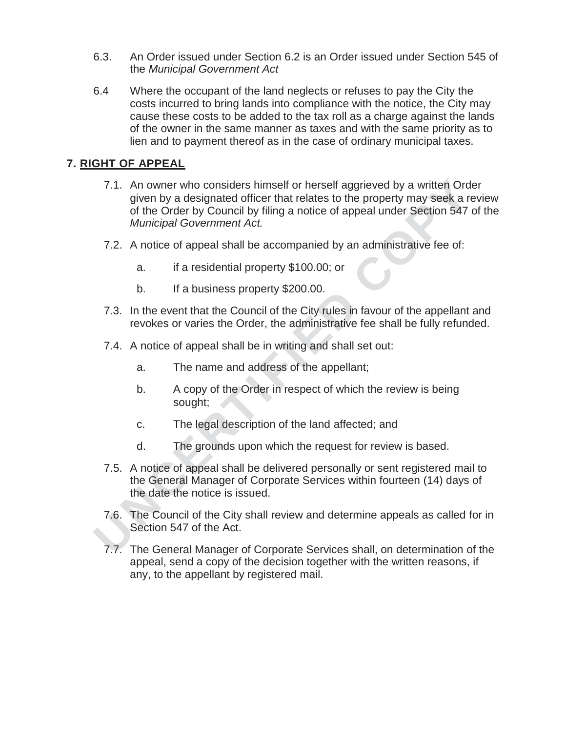- 6.3. An Order issued under Section 6.2 is an Order issued under Section 545 of the *Municipal Government Act*
- 6.4 Where the occupant of the land neglects or refuses to pay the City the costs incurred to bring lands into compliance with the notice, the City may cause these costs to be added to the tax roll as a charge against the lands of the owner in the same manner as taxes and with the same priority as to lien and to payment thereof as in the case of ordinary municipal taxes.

# **7. RIGHT OF APPEAL**

- 7.1. An owner who considers himself or herself aggrieved by a written Ord<br>
of the Order by a designated officer that relates to the property may seek a re<br>
of the Order by Council by filing a notice of appeal under Sectio 7.1. An owner who considers himself or herself aggrieved by a written Order given by a designated officer that relates to the property may seek a review of the Order by Council by filing a notice of appeal under Section 547 of the *Municipal Government Act.* 
	- 7.2. A notice of appeal shall be accompanied by an administrative fee of:
		- a. if a residential property \$100.00; or
		- b. If a business property \$200.00.
	- 7.3. In the event that the Council of the City rules in favour of the appellant and revokes or varies the Order, the administrative fee shall be fully refunded.
	- 7.4. A notice of appeal shall be in writing and shall set out:
		- a. The name and address of the appellant;
		- b. A copy of the Order in respect of which the review is being sought;
		- c. The legal description of the land affected; and
		- d. The grounds upon which the request for review is based.
	- 7.5. A notice of appeal shall be delivered personally or sent registered mail to the General Manager of Corporate Services within fourteen (14) days of the date the notice is issued.
	- 7.6. The Council of the City shall review and determine appeals as called for in Section 547 of the Act.
	- 7.7. The General Manager of Corporate Services shall, on determination of the appeal, send a copy of the decision together with the written reasons, if any, to the appellant by registered mail.